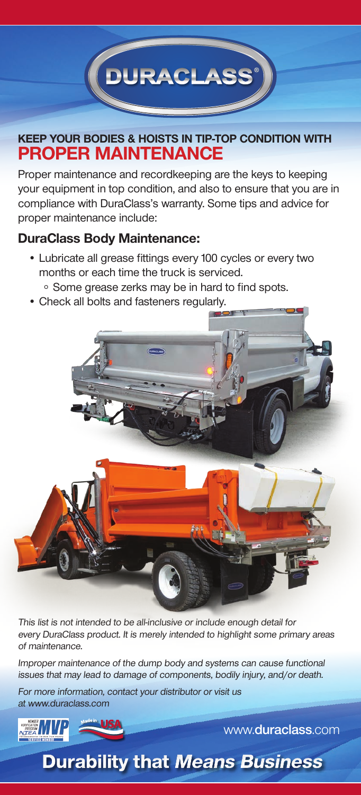

# **KEEP YOUR BODIES & HOISTS IN TIP-TOP CONDITION WITH PROPER MAINTENANCE**

Proper maintenance and recordkeeping are the keys to keeping your equipment in top condition, and also to ensure that you are in compliance with DuraClass's warranty. Some tips and advice for proper maintenance include:

## **DuraClass Body Maintenance:**

• Lubricate all grease fittings every 100 cycles or every two months or each time the truck is serviced.

○ Some grease zerks may be in hard to find spots.

• Check all bolts and fasteners regularly.



This list is not intended to be all-inclusive or include enough detail for every DuraClass product. It is merely intended to highlight some primary areas of maintenance.

Improper maintenance of the dump body and systems can cause functional issues that may lead to damage of components, bodily injury, and/or death.

Durability that Means Business

For more information, contact your distributor or visit us at www.duraclass.com



www.**duraclass**.com